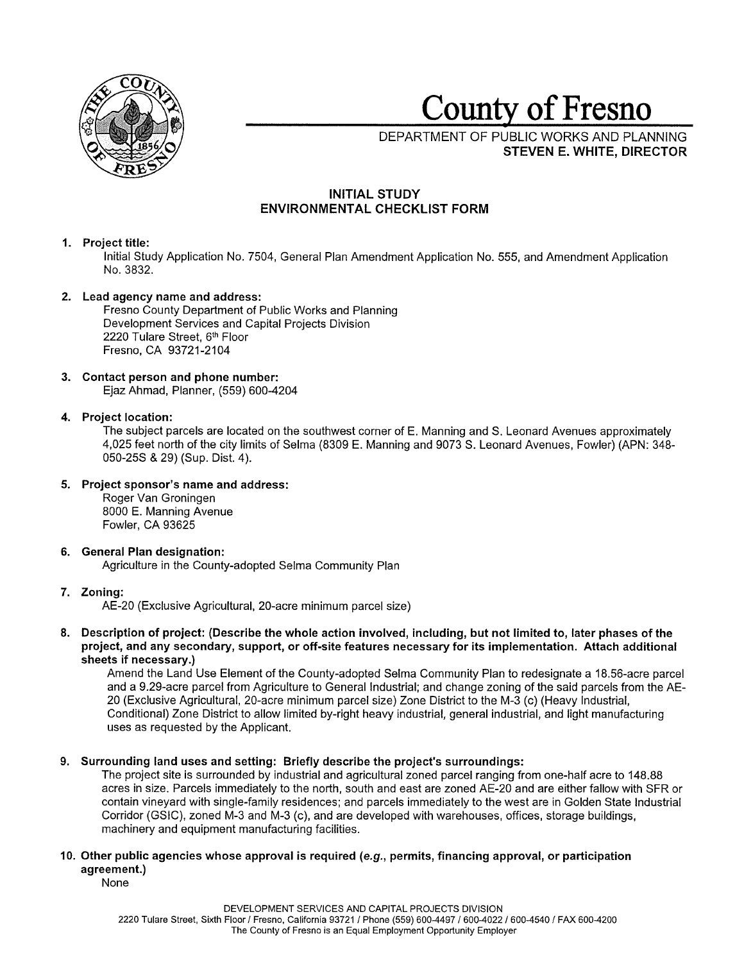

**County of Fresno** 

DEPARTMENT OF PUBLIC WORKS AND PLANNING **STEVEN E. WHITE, DIRECTOR** 

# **INITIAL STUDY ENVIRONMENTAL CHECKLIST FORM**

## **1. Project title:**

Initial Study Application No. 7504, General Plan Amendment Application No. 555, and Amendment Application No. 3832.

# **2. Lead agency name and address:**

Fresno County Department of Public Works and Planning Development Services and Capital Projects Division 2220 Tulare Street, 6th Floor Fresno, CA 93721-2104

# **3. Contact person and phone number:**

Ejaz Ahmad, Planner, (559) 600-4204

# **4. Project location:**

The subject parcels are located on the southwest corner of E. Manning and S. Leonard Avenues approximately 4,025 feet north of the city limits of Selma (8309 E. Manning and 9073 S. Leonard Avenues, Fowler) (APN: 348- 050-25S & 29) (Sup. Dist. 4).

# **5. Project sponsor's name and address:**

Roger Van Groningen 8000 E. Manning Avenue Fowler, CA 93625

## **6. General Plan designation:**  Agriculture in the County-adopted Selma Community Plan

# **7. Zoning:**

AE-20 (Exclusive Agricultural, 20-acre minimum parcel size)

**8. Description of project: (Describe the whole action involved, including, but not limited to, later phases of the project, and any secondary, support, or off-site features necessary for its implementation. Attach additional sheets if necessary.)** 

Amend the Land Use Element of the County-adopted Selma Community Plan to redesignate a 18.56-acre parcel and a 9.29-acre parcel from Agriculture to General Industrial; and change zoning of the said parcels from the AE-20 (Exclusive Agricultural, 20-acre minimum parcel size) Zone District to the M-3 (c) (Heavy Industrial, Conditional) Zone District to allow limited by-right heavy industrial, general industrial, and light manufacturing uses as requested by the Applicant.

# **9. Surrounding land uses and setting: Briefly describe the project's surroundings:**

The project site is surrounded by industrial and agricultural zoned parcel ranging from one-half acre to 148.88 acres in size. Parcels immediately to the north, south and east are zoned AE-20 and are either fallow with SFR or contain vineyard with single-family residences; and parcels immediately to the west are in Golden State Industrial Corridor (GSIC), zoned M-3 and M-3 (c), and are developed with warehouses, offices, storage buildings, machinery and equipment manufacturing facilities.

# **10. Other public agencies whose approval is required (e.g., permits, financing approval, or participation agreement.)**

None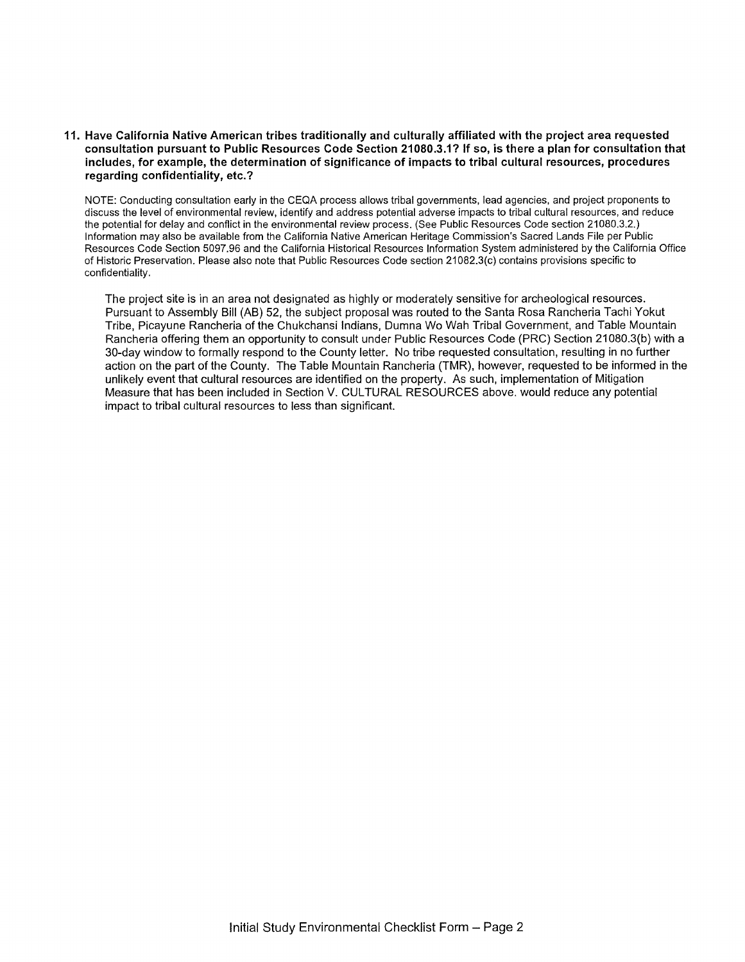## **11. Have California Native American tribes traditionally and culturally affiliated with the project area requested consultation pursuant to Public Resources Code Section 21080.3.1? If so, is there a plan for consultation that includes, for example, the determination of significance of impacts to tribal cultural resources, procedures regarding confidentiality, etc.?**

NOTE: Conducting consultation early in the CEQA process allows tribal governments, lead agencies, and project proponents to discuss the level of environmental review, identify and address potential adverse impacts to tribal cultural resources, and reduce the potential for delay and conflict in the environmental review process. (See Public Resources Code section 21080.3.2.) Information may also be available from the California Native American Heritage Commission's Sacred Lands File per Public Resources Code Section 5097.96 and the California Historical Resources Information System administered by the California Office of Historic Preservation. Please also note that Public Resources Code section 21082.3(c) contains provisions specific to confidentiality.

The project site is in an area not designated as highly or moderately sensitive for archeological resources. Pursuant to Assembly Bill (AB) 52, the subject proposal was routed to the Santa Rosa Rancheria Tachi Yakut Tribe, Picayune Rancheria of the Chukchansi Indians, Dumna Wo Wah Tribal Government, and Table Mountain Rancheria offering them an opportunity to consult under Public Resources Code (PRC) Section 21080.3(b) with a 30-day window to formally respond to the County letter. No tribe requested consultation, resulting in no further action on the part of the County. The Table Mountain Rancheria (TMR), however, requested to be informed in the unlikely event that cultural resources are identified on the property. As such, implementation of Mitigation Measure that has been included in Section V. CULTURAL RESOURCES above. would reduce any potential impact to tribal cultural resources to less than significant.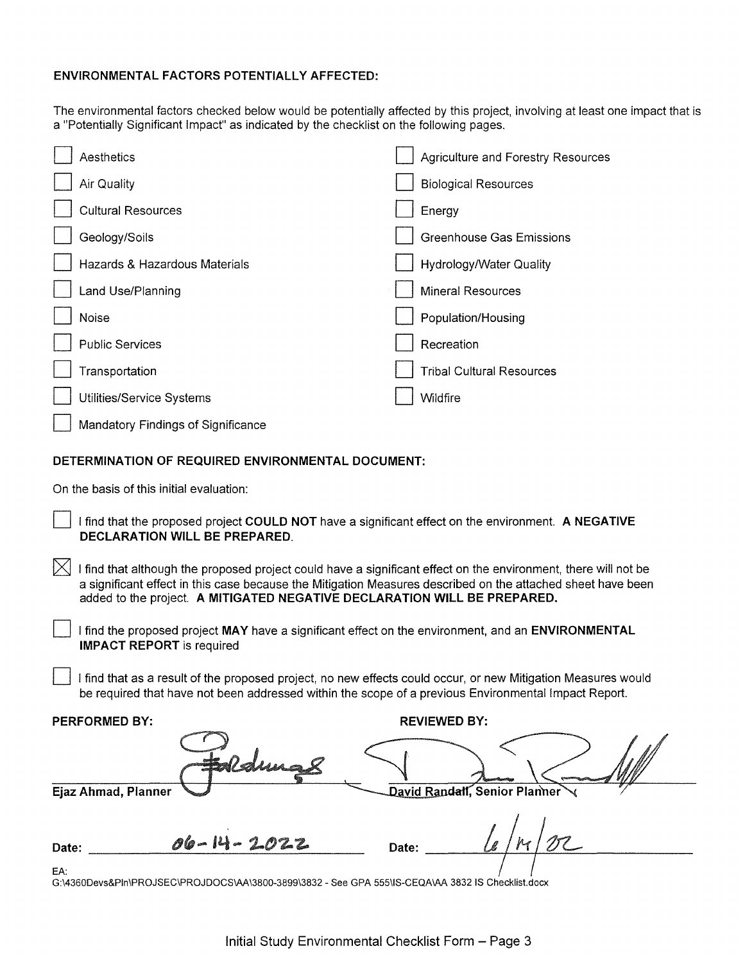# **ENVIRONMENTAL FACTORS POTENTIALLY AFFECTED:**

The environmental factors checked below would be potentially affected by this project, involving at least one impact that is a "Potentially Significant Impact" as indicated by the checklist on the following pages.

|                                                   | Aesthetics                         |  | <b>Agriculture and Forestry Resources</b> |  |
|---------------------------------------------------|------------------------------------|--|-------------------------------------------|--|
|                                                   | Air Quality                        |  | <b>Biological Resources</b>               |  |
|                                                   | <b>Cultural Resources</b>          |  | Energy                                    |  |
|                                                   | Geology/Soils                      |  | <b>Greenhouse Gas Emissions</b>           |  |
|                                                   | Hazards & Hazardous Materials      |  | Hydrology/Water Quality                   |  |
|                                                   | Land Use/Planning                  |  | <b>Mineral Resources</b>                  |  |
|                                                   | Noise                              |  | Population/Housing                        |  |
|                                                   | <b>Public Services</b>             |  | Recreation                                |  |
|                                                   | Transportation                     |  | <b>Tribal Cultural Resources</b>          |  |
|                                                   | Utilities/Service Systems          |  | <b>Wildfire</b>                           |  |
|                                                   | Mandatory Findings of Significance |  |                                           |  |
| DETERMINATION OF REQUIRED ENVIRONMENTAL DOCUMENT: |                                    |  |                                           |  |

On the basis of this initial evaluation:

D I find that the proposed project **COULD NOT** have a significant effect on the environment. **A NEGATIVE DECLARATION WILL BE PREPARED.** 

 $\boxtimes$  I find that although the proposed project could have a significant effect on the environment, there will not be a significant effect in this case because the Mitigation Measures described on the attached sheet have been added to the project. **A MITIGATED NEGATIVE DECLARATION WILL BE PREPARED.** 

D I find the proposed project **MAY** have a significant effect on the environment, and an **ENVIRONMENTAL IMPACT REPORT** is required

I find that as a result of the proposed project, no new effects could occur, or new Mitigation Measures would be required that have not been addressed within the scope of a previous Environmental Impact Report.

| <b>PERFORMED BY:</b>       | <b>REVIEWED BY:</b>                        |  |  |
|----------------------------|--------------------------------------------|--|--|
| Faldmag                    | <b><i><i><b>Space Assettes</b></i></i></b> |  |  |
| <b>Ejaz Ahmad, Planner</b> | David Randall, Senior Planner              |  |  |
| 06-14-2022<br>Date:        | Date:                                      |  |  |

EA:

G:\4360Devs&Pln\PROJSEC\PROJDOCS\AA\3800-3899\3832 - See GPA 555\IS-CEQA\AA 3832 IS Checklist.docx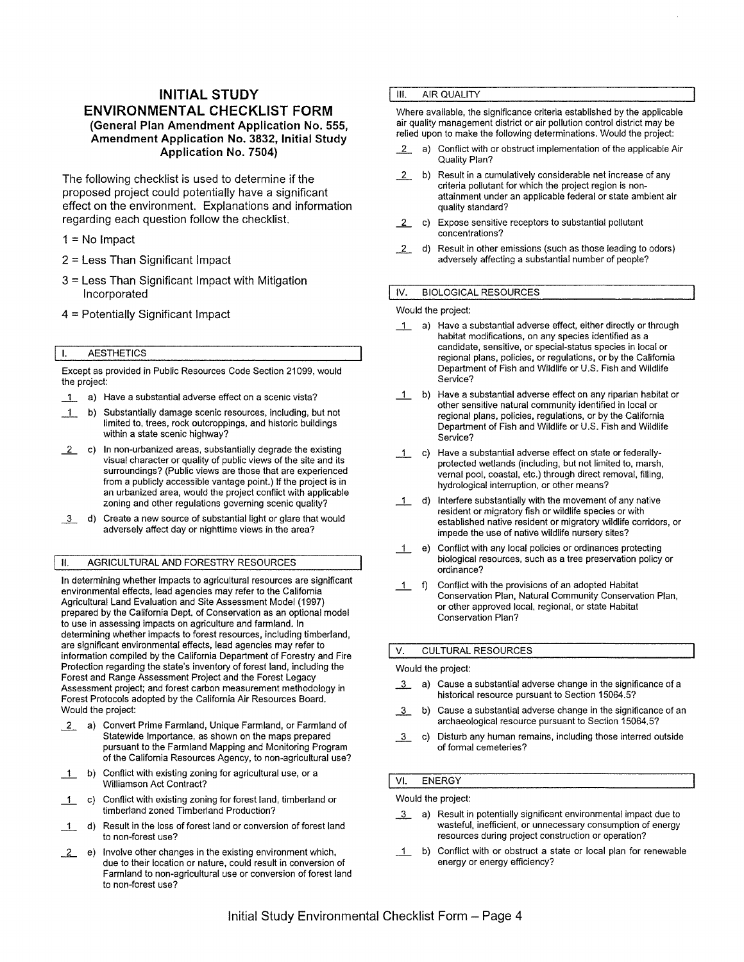# **INITIAL STUDY ENVIRONMENTAL CHECKLIST FORM (General Plan Amendment Application No. 555, Amendment Application No. 3832, Initial Study Application No. 7504)**

The following checklist is used to determine if the proposed project could potentially have a significant effect on the environment. Explanations and information regarding each question follow the checklist.

- $1 = No$  Impact
- 2 = Less Than Significant Impact
- 3 = Less Than Significant Impact with Mitigation Incorporated
- 4 = Potentially Significant Impact

### I. AESTHETICS

Except as provided in Public Resources Code Section 21099, would the project:

- \_1\_ a) Have a substantial adverse effect on a scenic vista?
- 1 b) Substantially damage scenic resources, including, but not limited to, trees, rock outcroppings, and historic buildings within a state scenic highway?
- *\_L* c) In non-urbanized areas, substantially degrade the existing visual character or quality of public views of the site and its surroundings? (Public views are those that are experienced from a publicly accessible vantage point.) If the project is in an urbanized area, would the project conflict with applicable zoning and other regulations governing scenic quality?
- 13 d) Create a new source of substantial light or glare that would adversely affect day or nighttime views in the area?

## II. AGRICULTURAL AND FORESTRY RESOURCES

In determining whether impacts to agricultural resources are significant environmental effects, lead agencies may refer to the California Agricultural Land Evaluation and Site Assessment Model (1997) prepared by the California Dept. of Conservation as an optional model to use in assessing impacts on agriculture and farmland. In determining whether impacts to forest resources, including timberland, are significant environmental effects, lead agencies may refer to information compiled by the California Department of Forestry and Fire Protection regarding the state's inventory of forest land, including the Forest and Range Assessment Project and the Forest Legacy Assessment project; and forest carbon measurement methodology in Forest Protocols adopted by the California Air Resources Board. Would the project:

- *\_L* a) Convert Prime Farmland, Unique Farmland, or Farmland of Statewide Importance, as shown on the maps prepared pursuant to the Farmland Mapping and Monitoring Program of the California Resources Agency, to non-agricultural use?
- 1 b) Conflict with existing zoning for agricultural use, or a Williamson Act Contract?
- \_1\_ c) Conflict with existing zoning for forest land, timberland or timberland zoned Timberland Production?
- 1 d) Result in the loss of forest land or conversion of forest land to non-forest use?
- *\_L* e) Involve other changes in the existing environment which, due to their location or nature, could result in conversion of Farmland to non-agricultural use or conversion of forest land to non-forest use?

#### **III.** AIR QUALITY

Where available, the significance criteria established by the applicable air quality management district or air pollution control district may be relied upon to make the following determinations. Would the project:

- *\_L* a) Conflict with or obstruct implementation of the applicable Air Quality Plan?
- *\_L* b) Result in a cumulatively considerable net increase of any criteria pollutant for which the project region is nonattainment under an applicable federal or state ambient air quality standard?
- *\_L* c) Expose sensitive receptors to substantial pollutant concentrations?
- *\_L* d) Result in other emissions (such as those leading to odors) adversely affecting a substantial number of people?

#### IV. BIOLOGICAL RESOURCES

#### Would the project:

- 1 a) Have a substantial adverse effect, either directly or through habitat modifications, on any species identified as a candidate, sensitive, or special-status species in local or regional plans, policies, or regulations, or by the California Department of Fish and Wildlife or U.S. Fish and Wildlife Service?
- 1 b) Have a substantial adverse effect on any riparian habitat or other sensitive natural community identified in local or regional plans, policies, regulations, or by the California Department of Fish and Wildlife or U.S. Fish and Wildlife Service?
- \_1\_ c) Have a substantial adverse effect on state or federallyprotected wetlands (including, but not limited to, marsh, vernal pool, coastal, etc.) through direct removal, filling, hydrological interruption, or other means?
- 1\_ d) Interfere substantially with the movement of any native resident or migratory fish or wildlife species or with established native resident or migratory wildlife corridors, or impede the use of native wildlife nursery sites?
- e) Conflict with any local policies or ordinances protecting biological resources, such as a tree preservation policy or ordinance?
- 1 f) Conflict with the provisions of an adopted Habitat Conservation Plan, Natural Community Conservation Plan, or other approved local, regional, or state Habitat Conservation Plan?

### V. CULTURAL RESOURCES

#### Would the project:

- 3 a) Cause a substantial adverse change in the significance of a historical resource pursuant to Section 15064.5?
- \_]\_ b) Cause a substantial adverse change in the significance of an archaeological resource pursuant to Section 15064.5?
- \_]\_ c) Disturb any human remains, including those interred outside of formal cemeteries?

## VI. ENERGY

#### Would the project:

- 13 a) Result in potentially significant environmental impact due to wasteful, inefficient, or unnecessary consumption of energy resources during project construction or operation?
- 1 b) Conflict with or obstruct a state or local plan for renewable energy or energy efficiency?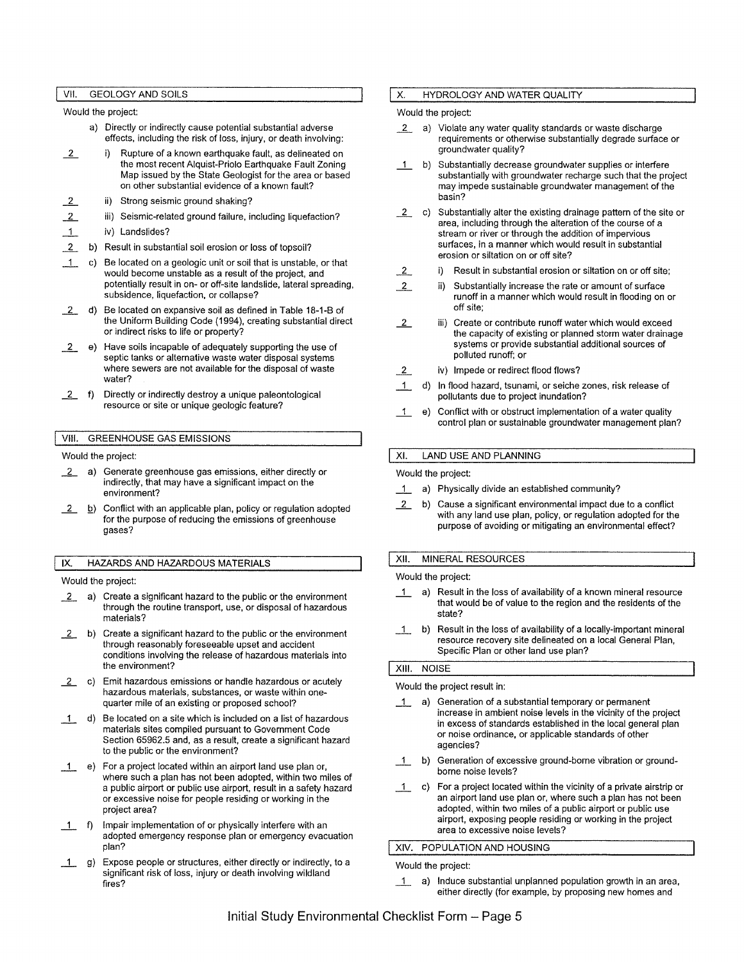VII. GEOLOGY AND SOILS

Would the project:

- a) Directly or indirectly cause potential substantial adverse effects, including the risk of loss, injury, or death involving:
- *\_L* i) Rupture of a known earthquake fault, as delineated on the most recent Alquist-Priolo Earthquake Fault Zoning Map issued by the State Geologist for the area or based on other substantial evidence of a known fault?
- *\_L*  ii) Strong seismic ground shaking?
- *\_L*  iii) Seismic-related ground failure, including liquefaction?
- $\mathbf{1}$ iv) Landslides?
- 2 b) Result in substantial soil erosion or loss of topsoil?
- $\Box$ Be located on a geologic unit or soil that is unstable, or that would become unstable as a result of the project, and potentially result in on- or off-site landslide, lateral spreading, subsidence, liquefaction, or collapse?
- *\_L* d) Be located on expansive soil as defined in Table 18-1-B of the Uniform Building Code (1994), creating substantial direct or indirect risks to life or property?
- *\_L* e) Have soils incapable of adequately supporting the use of septic tanks or alternative waste water disposal systems where sewers are not available for the disposal of waste water?
- *\_L* f) Directly or indirectly destroy a unique paleontological resource or site or unique geologic feature?

## VIII. GREENHOUSE GAS EMISSIONS

Would the project:

- *\_L* a) Generate greenhouse gas emissions, either directly or indirectly, that may have a significant impact on the environment?
- *\_L* !2) Conflict with an applicable plan, policy or regulation adopted for the purpose of reducing the emissions of greenhouse gases?

#### IX. HAZARDS AND HAZARDOUS MATERIALS

Would the project:

- *\_L* a) Create a significant hazard to the public or the environment through the routine transport, use, or disposal of hazardous materials?
- *\_L* b) Create a significant hazard to the public or the environment through reasonably foreseeable upset and accident conditions involving the release of hazardous materials into the environment?
- *\_L* c) Emit hazardous emissions or handle hazardous or acutely hazardous materials, substances, or waste within onequarter mile of an existing or proposed school?
- 1 d) Be located on a site which is included on a list of hazardous materials sites compiled pursuant to Government Code Section 65962.5 and, as a result, create a significant hazard to the public or the environment?
- \_1\_ e) For a project located within an airport land use plan or, where such a plan has not been adopted, within two miles of a public airport or public use airport, result in a safety hazard or excessive noise for people residing or working in the project area?
- \_1\_ f) Impair implementation of or physically interfere with an adopted emergency response plan or emergency evacuation plan?
- 1 g) Expose people or structures, either directly or indirectly, to a significant risk of loss, injury or death involving wildland fires?

### X. HYDROLOGY AND WATER QUALITY

### Would the project:

- *\_L* a) Violate any water quality standards or waste discharge requirements or otherwise substantially degrade surface or groundwater quality?
- \_1\_ b) Substantially decrease groundwater supplies or interfere substantially with groundwater recharge such that the project may impede sustainable groundwater management of the basin?
- *\_L* c) Substantially alter the existing drainage pattern of the site or area, including through the alteration of the course of a stream or river or through the addition of impervious surfaces, in a manner which would result in substantial erosion or siltation on or off site?
- *\_L* i) Result in substantial erosion or siltation on or off site;
- *\_L* ii) Substantially increase the rate or amount of surface runoff in a manner which would result in flooding on or off site;
- *\_L* iii) Create or contribute runoff water which would exceed the capacity of existing or planned storm water drainage systems or provide substantial additional sources of polluted runoff; or
- 2 *iv*) Impede or redirect flood flows?
- \_1\_ d) In flood hazard, tsunami, or seiche zones, risk release of pollutants due to project inundation?
- \_1\_ e) Conflict with or obstruct implementation of a water quality control plan or sustainable groundwater management plan?

### XI. LAND USE AND PLANNING

### Would the project:

- 1\_ a) Physically divide an established community?
- *\_L* b) Cause a significant environmental impact due to a conflict with any land use plan, policy, or regulation adopted for the purpose of avoiding or mitigating an environmental effect?

### XII. MINERAL RESOURCES

Would the project:

- 1 a) Result in the loss of availability of a known mineral resource that would be of value to the region and the residents of the state?
- \_1\_ b) Result in the loss of availability of a locally-important mineral resource recovery site delineated on a local General Plan, Specific Plan or other land use plan?

### XIII. NOISE

#### Would the project result in:

- \_1\_ a) Generation of a substantial temporary or permanent increase in ambient noise levels in the vicinity of the project in excess of standards established in the local general plan or noise ordinance, or applicable standards of other agencies?
- 1 b) Generation of excessive ground-borne vibration or groundborne noise levels?
- \_1\_ c) For a project located within the vicinity of a private airstrip or an airport land use plan or, where such a plan has not been adopted, within two miles of a public airport or public use airport, exposing people residing or working in the project area to excessive noise levels?

### XIV. POPULATION AND HOUSING

#### Would the project:

1 a) Induce substantial unplanned population growth in an area, either directly (for example, by proposing new homes and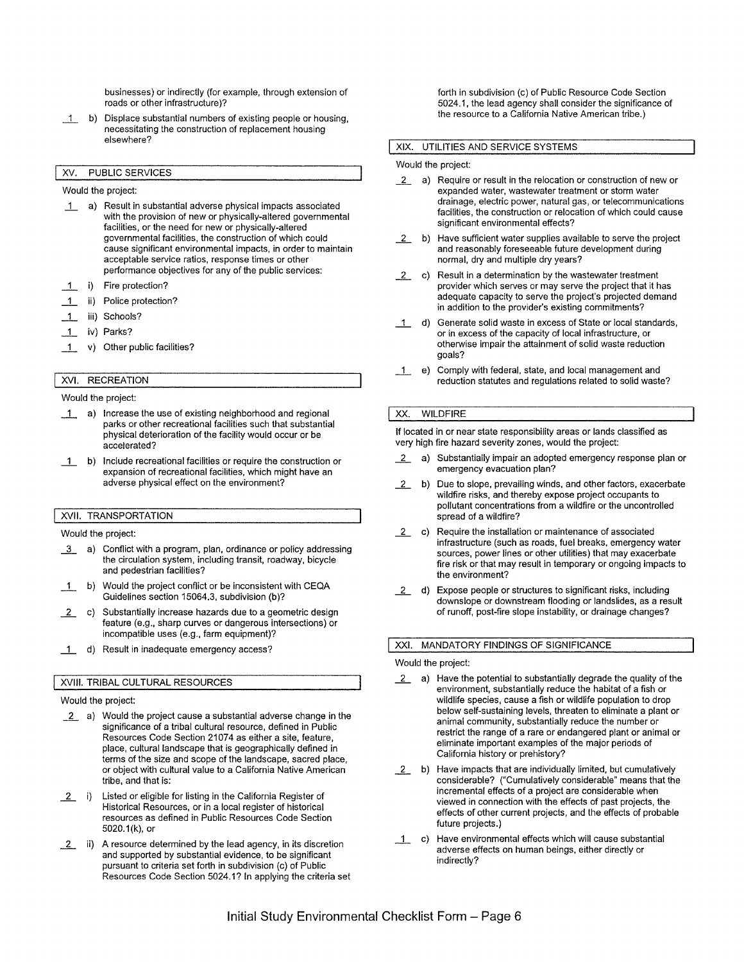businesses) or indirectly (for example, through extension of roads or other infrastructure)?

\_1\_ b) Displace substantial numbers of existing people or housing, necessitating the construction of replacement housing elsewhere?

### XV. PUBLIC SERVICES

#### Would the project:

- 1\_ a) Result in substantial adverse physical impacts associated with the provision of new or physically-altered governmental facilities, or the need for new or physically-altered governmental facilities, the construction of which could cause significant environmental impacts, in order to maintain acceptable service ratios, response times or other performance objectives for any of the public services:
- \_1\_ i) Fire protection?
- 1\_ ii) Police protection?
- 1 iii) Schools?
- 1 iv) Parks?
- \_1\_ v) Other public facilities?

## XVI. RECREATION

#### Would the project:

- 1 a) Increase the use of existing neighborhood and regional parks or other recreational facilities such that substantial physical deterioration of the facility would occur or be accelerated?
- \_1\_ b) Include recreational facilities or require the construction or expansion of recreational facilities, which might have an adverse physical effect on the environment?

#### XVII. TRANSPORTATION

#### Would the project:

- 3 a) Conflict with a program, plan, ordinance or policy addressing the circulation system, including transit, roadway, bicycle and pedestrian facilities?
- 1 b) Would the project conflict or be inconsistent with CEQA Guidelines section 15064.3, subdivision (b)?
- 2. c) Substantially increase hazards due to a geometric design feature (e.g., sharp curves or dangerous intersections) or incompatible uses (e.g., farm equipment)?
- 1 d) Result in inadequate emergency access?

## XVIII. TRIBAL CULTURAL RESOURCES

#### Would the project:

- 1.2. a) Would the project cause a substantial adverse change in the significance of a tribal cultural resource, defined in Public Resources Code Section 21074 as either a site, feature, place, cultural landscape that is geographically defined in terms of the size and scope of the landscape, sacred place, or object with cultural value to a California Native American tribe, and that is:
- 1.2. i) Listed or eligible for listing in the California Register of Historical Resources, or in a local register of historical resources as defined in Public Resources Code Section 5020.1 (k), or
- 1.... ii) A resource determined by the lead agency, in its discretion and supported by substantial evidence, to be significant pursuant to criteria set forth in subdivision (c) of Public Resources Code Section 5024.1? In applying the criteria set

forth in subdivision (c) of Public Resource Code Section 5024.1, the lead agency shall consider the significance of the resource to a California Native American tribe.)

#### **XIX.** UTILITIES AND SERVICE SYSTEMS

#### Would the project:

- 2. a) Require or result in the relocation or construction of new or expanded water, wastewater treatment or storm water drainage, electric power, natural gas, or telecommunications facilities, the construction or relocation of which could cause significant environmental effects?
- \_1...\_ b) Have sufficient water supplies available to serve the project and reasonably foreseeable future development during normal, dry and multiple dry years?
- $2$ . c) Result in a determination by the wastewater treatment provider which serves or may serve the project that it has adequate capacity to serve the project's projected demand in addition to the provider's existing commitments?
- 1 d) Generate solid waste in excess of State or local standards, or in excess of the capacity of local infrastructure, or otherwise impair the attainment of solid waste reduction goals?
- \_1\_ e) Comply with federal, state, and local management and reduction statutes and regulations related to solid waste?

### XX. WILDFIRE

If located in or near state responsibility areas or lands classified as very high fire hazard severity zones, would the project:

- 2. a) Substantially impair an adopted emergency response plan or emergency evacuation plan?
- 2. b) Due to slope, prevailing winds, and other factors, exacerbate wildfire risks, and thereby expose project occupants to pollutant concentrations from a wildfire or the uncontrolled spread of a wildfire?
- 2. c) Require the installation or maintenance of associated infrastructure (such as roads, fuel breaks, emergency water sources, power lines or other utilities) that may exacerbate fire risk or that may result in temporary or ongoing impacts to the environment?
- 1.2. d) Expose people or structures to significant risks, including downslope or downstream flooding or landslides, as a result of runoff, post-fire slope instability, or drainage changes?

#### XXL MANDATORY FINDINGS OF SIGNIFICANCE

#### Would the project:

- 2. a) Have the potential to substantially degrade the quality of the environment, substantially reduce the habitat of a fish or wildlife species, cause a fish or wildlife population to drop below self-sustaining levels, threaten to eliminate a plant or animal community, substantially reduce the number or restrict the range of a rare or endangered plant or animal or eliminate important examples of the major periods of California history or prehistory?
- \_1...\_ b) Have impacts that are individually limited, but cumulatively considerable? ("Cumulatively considerable" means that the incremental effects of a project are considerable when viewed in connection with the effects of past projects, the effects of other current projects, and the effects of probable future projects.)
- \_1\_ c) Have environmental effects which will cause substantial adverse effects on human beings, either directly or indirectly?